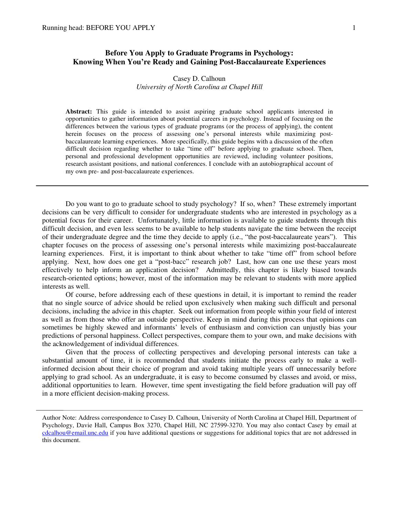ֺ

# **Before You Apply to Graduate Programs in Psychology: Knowing When You're Ready and Gaining Post-Baccalaureate Experiences**

# Casey D. Calhoun *University of North Carolina at Chapel Hill*

**Abstract:** This guide is intended to assist aspiring graduate school applicants interested in opportunities to gather information about potential careers in psychology. Instead of focusing on the differences between the various types of graduate programs (or the process of applying), the content herein focuses on the process of assessing one's personal interests while maximizing postbaccalaureate learning experiences. More specifically, this guide begins with a discussion of the often difficult decision regarding whether to take "time off" before applying to graduate school. Then, personal and professional development opportunities are reviewed, including volunteer positions, research assistant positions, and national conferences. I conclude with an autobiographical account of my own pre- and post-baccalaureate experiences.

Do you want to go to graduate school to study psychology? If so, when? These extremely important decisions can be very difficult to consider for undergraduate students who are interested in psychology as a potential focus for their career. Unfortunately, little information is available to guide students through this difficult decision, and even less seems to be available to help students navigate the time between the receipt of their undergraduate degree and the time they decide to apply (i.e., "the post-baccalaureate years"). This chapter focuses on the process of assessing one's personal interests while maximizing post-baccalaureate learning experiences. First, it is important to think about whether to take "time off" from school before applying. Next, how does one get a "post-bacc" research job? Last, how can one use these years most effectively to help inform an application decision? Admittedly, this chapter is likely biased towards research-oriented options; however, most of the information may be relevant to students with more applied interests as well.

Of course, before addressing each of these questions in detail, it is important to remind the reader that no single source of advice should be relied upon exclusively when making such difficult and personal decisions, including the advice in this chapter. Seek out information from people within your field of interest as well as from those who offer an outside perspective. Keep in mind during this process that opinions can sometimes be highly skewed and informants' levels of enthusiasm and conviction can unjustly bias your predictions of personal happiness. Collect perspectives, compare them to your own, and make decisions with the acknowledgement of individual differences.

Given that the process of collecting perspectives and developing personal interests can take a substantial amount of time, it is recommended that students initiate the process early to make a wellinformed decision about their choice of program and avoid taking multiple years off unnecessarily before applying to grad school. As an undergraduate, it is easy to become consumed by classes and avoid, or miss, additional opportunities to learn. However, time spent investigating the field before graduation will pay off in a more efficient decision-making process.

Author Note: Address correspondence to Casey D. Calhoun, University of North Carolina at Chapel Hill, Department of Psychology, Davie Hall, Campus Box 3270, Chapel Hill, NC 27599-3270. You may also contact Casey by email at cdcalhou@email.unc.edu if you have additional questions or suggestions for additional topics that are not addressed in this document.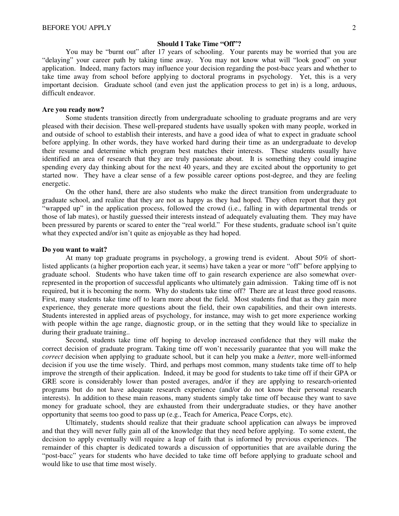## **Should I Take Time "Off"?**

You may be "burnt out" after 17 years of schooling. Your parents may be worried that you are "delaying" your career path by taking time away. You may not know what will "look good" on your application. Indeed, many factors may influence your decision regarding the post-bacc years and whether to take time away from school before applying to doctoral programs in psychology. Yet, this is a very important decision. Graduate school (and even just the application process to get in) is a long, arduous, difficult endeavor.

#### **Are you ready now?**

Some students transition directly from undergraduate schooling to graduate programs and are very pleased with their decision. These well-prepared students have usually spoken with many people, worked in and outside of school to establish their interests, and have a good idea of what to expect in graduate school before applying. In other words, they have worked hard during their time as an undergraduate to develop their resume and determine which program best matches their interests. These students usually have identified an area of research that they are truly passionate about. It is something they could imagine spending every day thinking about for the next 40 years, and they are excited about the opportunity to get started now. They have a clear sense of a few possible career options post-degree, and they are feeling energetic.

On the other hand, there are also students who make the direct transition from undergraduate to graduate school, and realize that they are not as happy as they had hoped. They often report that they got "wrapped up" in the application process, followed the crowd (i.e., falling in with departmental trends or those of lab mates), or hastily guessed their interests instead of adequately evaluating them. They may have been pressured by parents or scared to enter the "real world." For these students, graduate school isn't quite what they expected and/or isn't quite as enjoyable as they had hoped.

### **Do you want to wait?**

At many top graduate programs in psychology, a growing trend is evident. About 50% of shortlisted applicants (a higher proportion each year, it seems) have taken a year or more "off" before applying to graduate school. Students who have taken time off to gain research experience are also somewhat overrepresented in the proportion of successful applicants who ultimately gain admission. Taking time off is not required, but it is becoming the norm. Why do students take time off? There are at least three good reasons. First, many students take time off to learn more about the field. Most students find that as they gain more experience, they generate more questions about the field, their own capabilities, and their own interests. Students interested in applied areas of psychology, for instance, may wish to get more experience working with people within the age range, diagnostic group, or in the setting that they would like to specialize in during their graduate training..

Second, students take time off hoping to develop increased confidence that they will make the correct decision of graduate program. Taking time off won't necessarily guarantee that you will make the *correct* decision when applying to graduate school, but it can help you make a *better*, more well-informed decision if you use the time wisely. Third, and perhaps most common, many students take time off to help improve the strength of their application. Indeed, it may be good for students to take time off if their GPA or GRE score is considerably lower than posted averages, and/or if they are applying to research-oriented programs but do not have adequate research experience (and/or do not know their personal research interests). In addition to these main reasons, many students simply take time off because they want to save money for graduate school, they are exhausted from their undergraduate studies, or they have another opportunity that seems too good to pass up (e.g., Teach for America, Peace Corps, etc).

Ultimately, students should realize that their graduate school application can always be improved and that they will never fully gain all of the knowledge that they need before applying. To some extent, the decision to apply eventually will require a leap of faith that is informed by previous experiences. The remainder of this chapter is dedicated towards a discussion of opportunities that are available during the "post-bacc" years for students who have decided to take time off before applying to graduate school and would like to use that time most wisely.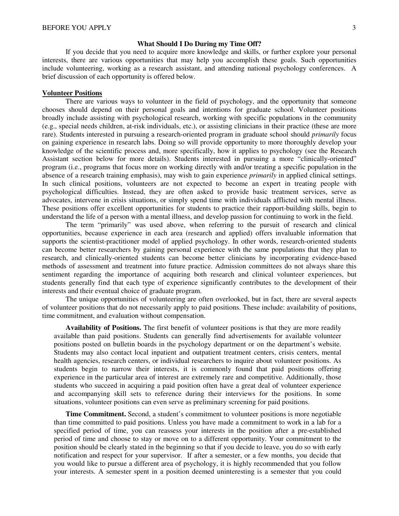# **What Should I Do During my Time Off?**

If you decide that you need to acquire more knowledge and skills, or further explore your personal interests, there are various opportunities that may help you accomplish these goals. Such opportunities include volunteering, working as a research assistant, and attending national psychology conferences. A brief discussion of each opportunity is offered below.

# **Volunteer Positions**

There are various ways to volunteer in the field of psychology, and the opportunity that someone chooses should depend on their personal goals and intentions for graduate school. Volunteer positions broadly include assisting with psychological research, working with specific populations in the community (e.g., special needs children, at-risk individuals, etc.), or assisting clinicians in their practice (these are more rare). Students interested in pursuing a research-oriented program in graduate school should *primarily* focus on gaining experience in research labs. Doing so will provide opportunity to more thoroughly develop your knowledge of the scientific process and, more specifically, how it applies to psychology (see the Research Assistant section below for more details). Students interested in pursuing a more "clinically-oriented" program (i.e., programs that focus more on working directly with and/or treating a specific population in the absence of a research training emphasis), may wish to gain experience *primarily* in applied clinical settings. In such clinical positions, volunteers are not expected to become an expert in treating people with psychological difficulties. Instead, they are often asked to provide basic treatment services, serve as advocates, intervene in crisis situations, or simply spend time with individuals afflicted with mental illness. These positions offer excellent opportunities for students to practice their rapport-building skills, begin to understand the life of a person with a mental illness, and develop passion for continuing to work in the field.

The term "primarily" was used above, when referring to the pursuit of research and clinical opportunities, because experience in each area (research and applied) offers invaluable information that supports the scientist-practitioner model of applied psychology. In other words, research-oriented students can become better researchers by gaining personal experience with the same populations that they plan to research, and clinically-oriented students can become better clinicians by incorporating evidence-based methods of assessment and treatment into future practice. Admission committees do not always share this sentiment regarding the importance of acquiring both research and clinical volunteer experiences, but students generally find that each type of experience significantly contributes to the development of their interests and their eventual choice of graduate program.

The unique opportunities of volunteering are often overlooked, but in fact, there are several aspects of volunteer positions that do not necessarily apply to paid positions. These include: availability of positions, time commitment, and evaluation without compensation.

**Availability of Positions.** The first benefit of volunteer positions is that they are more readily available than paid positions. Students can generally find advertisements for available volunteer positions posted on bulletin boards in the psychology department or on the department's website. Students may also contact local inpatient and outpatient treatment centers, crisis centers, mental health agencies, research centers, or individual researchers to inquire about volunteer positions. As students begin to narrow their interests, it is commonly found that paid positions offering experience in the particular area of interest are extremely rare and competitive. Additionally, those students who succeed in acquiring a paid position often have a great deal of volunteer experience and accompanying skill sets to reference during their interviews for the positions. In some situations, volunteer positions can even serve as preliminary screening for paid positions.

**Time Commitment.** Second, a student's commitment to volunteer positions is more negotiable than time committed to paid positions. Unless you have made a commitment to work in a lab for a specified period of time, you can reassess your interests in the position after a pre-established period of time and choose to stay or move on to a different opportunity. Your commitment to the position should be clearly stated in the beginning so that if you decide to leave, you do so with early notification and respect for your supervisor. If after a semester, or a few months, you decide that you would like to pursue a different area of psychology, it is highly recommended that you follow your interests. A semester spent in a position deemed uninteresting is a semester that you could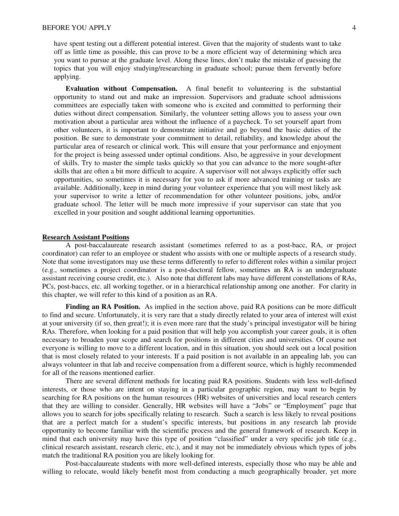have spent testing out a different potential interest. Given that the majority of students want to take off as little time as possible, this can prove to be a more efficient way of determining which area you want to pursue at the graduate level. Along these lines, don't make the mistake of guessing the topics that you will enjoy studying/researching in graduate school; pursue them fervently before applying.

**Evaluation without Compensation.** A final benefit to volunteering is the substantial opportunity to stand out and make an impression. Supervisors and graduate school admissions committees are especially taken with someone who is excited and committed to performing their duties without direct compensation. Similarly, the volunteer setting allows you to assess your own motivation about a particular area without the influence of a paycheck. To set yourself apart from other volunteers, it is important to demonstrate initiative and go beyond the basic duties of the position. Be sure to demonstrate your commitment to detail, reliability, and knowledge about the particular area of research or clinical work. This will ensure that your performance and enjoyment for the project is being assessed under optimal conditions. Also, be aggressive in your development of skills. Try to master the simple tasks quickly so that you can advance to the more sought-after skills that are often a bit more difficult to acquire. A supervisor will not always explicitly offer such opportunities, so sometimes it is necessary for you to ask if more advanced training or tasks are available. Additionally, keep in mind during your volunteer experience that you will most likely ask your supervisor to write a letter of recommendation for other volunteer positions, jobs, and/or graduate school. The letter will be much more impressive if your supervisor can state that you excelled in your position and sought additional learning opportunities.

### **Research Assistant Positions**

A post-baccalaureate research assistant (sometimes referred to as a post-bacc, RA, or project coordinator) can refer to an employee or student who assists with one or multiple aspects of a research study. Note that some investigators may use these terms differently to refer to different roles within a similar project (e.g., sometimes a project coordinator is a post-doctoral fellow, sometimes an RA is an undergraduate assistant receiving course credit, etc.). Also note that different labs may have different constellations of RAs, PCs, post-baccs, etc. all working together, or in a hierarchical relationship among one another. For clarity in this chapter, we will refer to this kind of a position as an RA.

**Finding an RA Position.** As implied in the section above, paid RA positions can be more difficult to find and secure. Unfortunately, it is very rare that a study directly related to your area of interest will exist at your university (if so, then great!); it is even more rare that the study's principal investigator will be hiring RAs. Therefore, when looking for a paid position that will help you accomplish your career goals, it is often necessary to broaden your scope and search for positions in different cities and universities. Of course not everyone is willing to move to a different location, and in this situation, you should seek out a local position that is most closely related to your interests. If a paid position is not available in an appealing lab, you can always volunteer in that lab and receive compensation from a different source, which is highly recommended for all of the reasons mentioned earlier.

There are several different methods for locating paid RA positions. Students with less well-defined interests, or those who are intent on staying in a particular geographic region, may want to begin by searching for RA positions on the human resources (HR) websites of universities and local research centers that they are willing to consider. Generally, HR websites will have a "Jobs" or "Employment" page that allows you to search for jobs specifically relating to research. Such a search is less likely to reveal positions that are a perfect match for a student's specific interests, but positions in any research lab provide opportunity to become familiar with the scientific process and the general framework of research. Keep in mind that each university may have this type of position "classified" under a very specific job title (e.g., clinical research assistant, research cleric, etc.), and it may not be immediately obvious which types of jobs match the traditional RA position you are likely looking for.

Post-baccalaureate students with more well-defined interests, especially those who may be able and willing to relocate, would likely benefit most from conducting a much geographically broader, yet more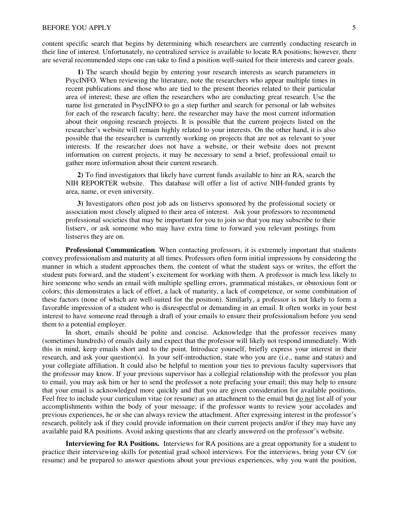content specific search that begins by determining which researchers are currently conducting research in their line of interest. Unfortunately, no centralized service is available to locate RA positions; however, there are several recommended steps one can take to find a position well-suited for their interests and career goals.

**1)** The search should begin by entering your research interests as search parameters in PsycINFO. When reviewing the literature, note the researchers who appear multiple times in recent publications and those who are tied to the present theories related to their particular area of interest; these are often the researchers who are conducting great research. Use the name list generated in PsycINFO to go a step further and search for personal or lab websites for each of the research faculty; here, the researcher may have the most current information about their ongoing research projects. It is possible that the current projects listed on the researcher's website will remain highly related to your interests. On the other hand, it is also possible that the researcher is currently working on projects that are not as relevant to your interests. If the researcher does not have a website, or their website does not present information on current projects, it may be necessary to send a brief, professional email to gather more information about their current research.

**2)** To find investigators that likely have current funds available to hire an RA, search the NIH REPORTER website. This database will offer a list of active NIH-funded grants by area, name, or even university.

**3)** Investigators often post job ads on listservs sponsored by the professional society or association most closely aligned to their area of interest. Ask your professors to recommend professional societies that may be important for you to join so that you may subscribe to their listserv, or ask someone who may have extra time to forward you relevant postings from listservs they are on.

**Professional Communication***.* When contacting professors, it is extremely important that students convey professionalism and maturity at all times. Professors often form initial impressions by considering the manner in which a student approaches them, the content of what the student says or writes, the effort the student puts forward, and the student's excitement for working with them. A professor is much less likely to hire someone who sends an email with multiple spelling errors, grammatical mistakes, or obnoxious font or colors; this demonstrates a lack of effort, a lack of maturity, a lack of competence, or some combination of these factors (none of which are well-suited for the position). Similarly, a professor is not likely to form a favorable impression of a student who is disrespectful or demanding in an email. It often works in your best interest to have someone read through a draft of your emails to ensure their professionalism before you send them to a potential employer.

In short, emails should be polite and concise. Acknowledge that the professor receives many (sometimes hundreds) of emails daily and expect that the professor will likely not respond immediately. With this in mind, keep emails short and to the point. Introduce yourself, briefly express your interest in their research, and ask your question(s). In your self-introduction, state who you are (i.e., name and status) and your collegiate affiliation. It could also be helpful to mention your ties to previous faculty supervisors that the professor may know. If your previous supervisor has a collegial relationship with the professor you plan to email, you may ask him or her to send the professor a note prefacing your email; this may help to ensure that your email is acknowledged more quickly and that you are given consideration for available positions. Feel free to include your curriculum vitae (or resume) as an attachment to the email but do not list all of your accomplishments within the body of your message; if the professor wants to review your accolades and previous experiences, he or she can always review the attachment. After expressing interest in the professor's research, politely ask if they could provide information on their current projects and/or if they may have any available paid RA positions. Avoid asking questions that are clearly answered on the professor's website.

**Interviewing for RA Positions.**Interviews for RA positions are a great opportunity for a student to practice their interviewing skills for potential grad school interviews. For the interviews, bring your CV (or resume) and be prepared to answer questions about your previous experiences, why you want the position,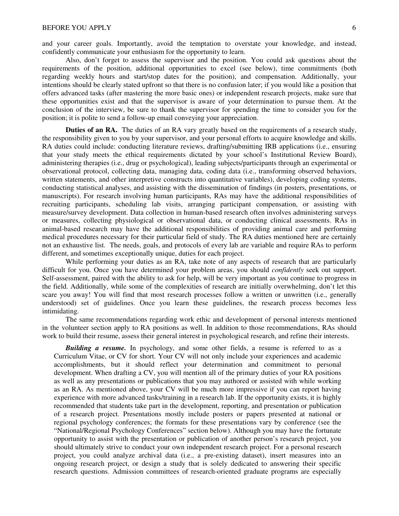Also, don't forget to assess the supervisor and the position. You could ask questions about the requirements of the position, additional opportunities to excel (see below), time commitments (both regarding weekly hours and start/stop dates for the position), and compensation. Additionally, your intentions should be clearly stated upfront so that there is no confusion later; if you would like a position that offers advanced tasks (after mastering the more basic ones) or independent research projects, make sure that these opportunities exist and that the supervisor is aware of your determination to pursue them. At the conclusion of the interview, be sure to thank the supervisor for spending the time to consider you for the position; it is polite to send a follow-up email conveying your appreciation.

**Duties of an RA.** The duties of an RA vary greatly based on the requirements of a research study, the responsibility given to you by your supervisor, and your personal efforts to acquire knowledge and skills. RA duties could include: conducting literature reviews, drafting/submitting IRB applications (i.e., ensuring that your study meets the ethical requirements dictated by your school's Institutional Review Board), administering therapies (i.e., drug or psychological), leading subjects/participants through an experimental or observational protocol, collecting data, managing data, coding data (i.e., transforming observed behaviors, written statements, and other interpretive constructs into quantitative variables), developing coding systems, conducting statistical analyses, and assisting with the dissemination of findings (in posters, presentations, or manuscripts). For research involving human participants, RAs may have the additional responsibilities of recruiting participants, scheduling lab visits, arranging participant compensation, or assisting with measure/survey development. Data collection in human-based research often involves administering surveys or measures, collecting physiological or observational data, or conducting clinical assessments. RAs in animal-based research may have the additional responsibilities of providing animal care and performing medical procedures necessary for their particular field of study. The RA duties mentioned here are certainly not an exhaustive list. The needs, goals, and protocols of every lab are variable and require RAs to perform different, and sometimes exceptionally unique, duties for each project.

While performing your duties as an RA, take note of any aspects of research that are particularly difficult for you. Once you have determined your problem areas, you should *confidently* seek out support. Self-assessment, paired with the ability to ask for help, will be very important as you continue to progress in the field. Additionally, while some of the complexities of research are initially overwhelming, don't let this scare you away! You will find that most research processes follow a written or unwritten (i.e., generally understood) set of guidelines. Once you learn these guidelines, the research process becomes less intimidating.

The same recommendations regarding work ethic and development of personal interests mentioned in the volunteer section apply to RA positions as well. In addition to those recommendations, RAs should work to build their resume, assess their general interest in psychological research, and refine their interests.

*Building a resume.* In psychology, and some other fields, a resume is referred to as a Curriculum Vitae, or CV for short. Your CV will not only include your experiences and academic accomplishments, but it should reflect your determination and commitment to personal development. When drafting a CV, you will mention all of the primary duties of your RA positions as well as any presentations or publications that you may authored or assisted with while working as an RA. As mentioned above, your CV will be much more impressive if you can report having experience with more advanced tasks/training in a research lab. If the opportunity exists, it is highly recommended that students take part in the development, reporting, and presentation or publication of a research project. Presentations mostly include posters or papers presented at national or regional psychology conferences; the formats for these presentations vary by conference (see the "National/Regional Psychology Conferences" section below). Although you may have the fortunate opportunity to assist with the presentation or publication of another person's research project, you should ultimately strive to conduct your own independent research project. For a personal research project, you could analyze archival data (i.e., a pre-existing dataset), insert measures into an ongoing research project, or design a study that is solely dedicated to answering their specific research questions. Admission committees of research-oriented graduate programs are especially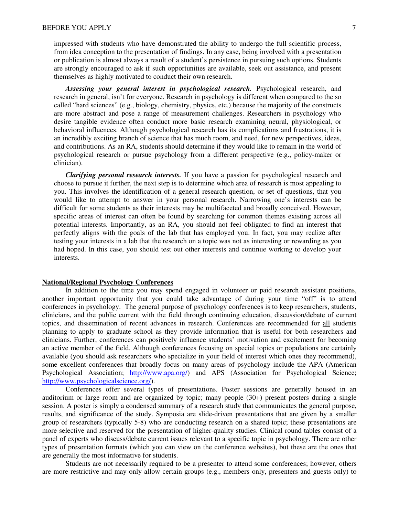impressed with students who have demonstrated the ability to undergo the full scientific process, from idea conception to the presentation of findings. In any case, being involved with a presentation or publication is almost always a result of a student's persistence in pursuing such options. Students are strongly encouraged to ask if such opportunities are available, seek out assistance, and present themselves as highly motivated to conduct their own research.

*Assessing your general interest in psychological research.* Psychological research, and research in general, isn't for everyone. Research in psychology is different when compared to the so called "hard sciences" (e.g., biology, chemistry, physics, etc.) because the majority of the constructs are more abstract and pose a range of measurement challenges. Researchers in psychology who desire tangible evidence often conduct more basic research examining neural, physiological, or behavioral influences. Although psychological research has its complications and frustrations, it is an incredibly exciting branch of science that has much room, and need, for new perspectives, ideas, and contributions. As an RA, students should determine if they would like to remain in the world of psychological research or pursue psychology from a different perspective (e.g., policy-maker or clinician).

*Clarifying personal research interests.* If you have a passion for psychological research and choose to pursue it further, the next step is to determine which area of research is most appealing to you. This involves the identification of a general research question, or set of questions, that you would like to attempt to answer in your personal research. Narrowing one's interests can be difficult for some students as their interests may be multifaceted and broadly conceived. However, specific areas of interest can often be found by searching for common themes existing across all potential interests. Importantly, as an RA, you should not feel obligated to find an interest that perfectly aligns with the goals of the lab that has employed you. In fact, you may realize after testing your interests in a lab that the research on a topic was not as interesting or rewarding as you had hoped. In this case, you should test out other interests and continue working to develop your interests.

### **National/Regional Psychology Conferences**

In addition to the time you may spend engaged in volunteer or paid research assistant positions, another important opportunity that you could take advantage of during your time "off" is to attend conferences in psychology. The general purpose of psychology conferences is to keep researchers, students, clinicians, and the public current with the field through continuing education, discussion/debate of current topics, and dissemination of recent advances in research. Conferences are recommended for all students planning to apply to graduate school as they provide information that is useful for both researchers and clinicians. Further, conferences can positively influence students' motivation and excitement for becoming an active member of the field. Although conferences focusing on special topics or populations are certainly available (you should ask researchers who specialize in your field of interest which ones they recommend), some excellent conferences that broadly focus on many areas of psychology include the APA (American Psychological Association; http://www.apa.org/) and APS (Association for Psychological Science; http://www.psychologicalscience.org/).

Conferences offer several types of presentations. Poster sessions are generally housed in an auditorium or large room and are organized by topic; many people (30+) present posters during a single session. A poster is simply a condensed summary of a research study that communicates the general purpose, results, and significance of the study. Symposia are slide-driven presentations that are given by a smaller group of researchers (typically 5-8) who are conducting research on a shared topic; these presentations are more selective and reserved for the presentation of higher-quality studies. Clinical round tables consist of a panel of experts who discuss/debate current issues relevant to a specific topic in psychology. There are other types of presentation formats (which you can view on the conference websites), but these are the ones that are generally the most informative for students.

Students are not necessarily required to be a presenter to attend some conferences; however, others are more restrictive and may only allow certain groups (e.g., members only, presenters and guests only) to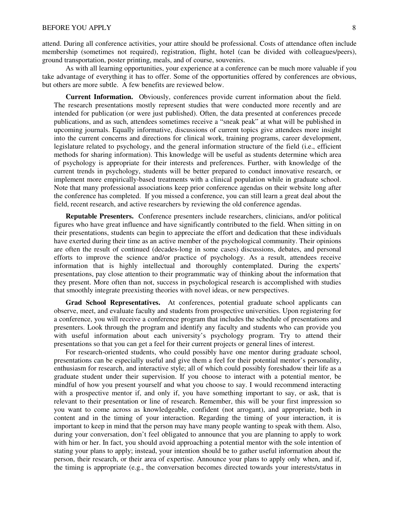attend. During all conference activities, your attire should be professional. Costs of attendance often include membership (sometimes not required), registration, flight, hotel (can be divided with colleagues/peers), ground transportation, poster printing, meals, and of course, souvenirs.

As with all learning opportunities, your experience at a conference can be much more valuable if you take advantage of everything it has to offer. Some of the opportunities offered by conferences are obvious, but others are more subtle. A few benefits are reviewed below.

**Current Information.**Obviously, conferences provide current information about the field. The research presentations mostly represent studies that were conducted more recently and are intended for publication (or were just published). Often, the data presented at conferences precede publications, and as such, attendees sometimes receive a "sneak peak" at what will be published in upcoming journals. Equally informative, discussions of current topics give attendees more insight into the current concerns and directions for clinical work, training programs, career development, legislature related to psychology, and the general information structure of the field (i.e., efficient methods for sharing information). This knowledge will be useful as students determine which area of psychology is appropriate for their interests and preferences. Further, with knowledge of the current trends in psychology, students will be better prepared to conduct innovative research, or implement more empirically-based treatments with a clinical population while in graduate school. Note that many professional associations keep prior conference agendas on their website long after the conference has completed. If you missed a conference, you can still learn a great deal about the field, recent research, and active researchers by reviewing the old conference agendas.

**Reputable Presenters.** Conference presenters include researchers, clinicians, and/or political figures who have great influence and have significantly contributed to the field. When sitting in on their presentations, students can begin to appreciate the effort and dedication that these individuals have exerted during their time as an active member of the psychological community. Their opinions are often the result of continued (decades-long in some cases) discussions, debates, and personal efforts to improve the science and/or practice of psychology. As a result, attendees receive information that is highly intellectual and thoroughly contemplated. During the experts' presentations, pay close attention to their programmatic way of thinking about the information that they present. More often than not, success in psychological research is accomplished with studies that smoothly integrate preexisting theories with novel ideas, or new perspectives.

**Grad School Representatives.**At conferences, potential graduate school applicants can observe, meet, and evaluate faculty and students from prospective universities. Upon registering for a conference, you will receive a conference program that includes the schedule of presentations and presenters. Look through the program and identify any faculty and students who can provide you with useful information about each university's psychology program. Try to attend their presentations so that you can get a feel for their current projects or general lines of interest.

For research-oriented students, who could possibly have one mentor during graduate school, presentations can be especially useful and give them a feel for their potential mentor's personality, enthusiasm for research, and interactive style; all of which could possibly foreshadow their life as a graduate student under their supervision. If you choose to interact with a potential mentor, be mindful of how you present yourself and what you choose to say. I would recommend interacting with a prospective mentor if, and only if, you have something important to say, or ask, that is relevant to their presentation or line of research. Remember, this will be your first impression so you want to come across as knowledgeable, confident (not arrogant), and appropriate, both in content and in the timing of your interaction. Regarding the timing of your interaction, it is important to keep in mind that the person may have many people wanting to speak with them. Also, during your conversation, don't feel obligated to announce that you are planning to apply to work with him or her. In fact, you should avoid approaching a potential mentor with the sole intention of stating your plans to apply; instead, your intention should be to gather useful information about the person, their research, or their area of expertise. Announce your plans to apply only when, and if, the timing is appropriate (e.g., the conversation becomes directed towards your interests/status in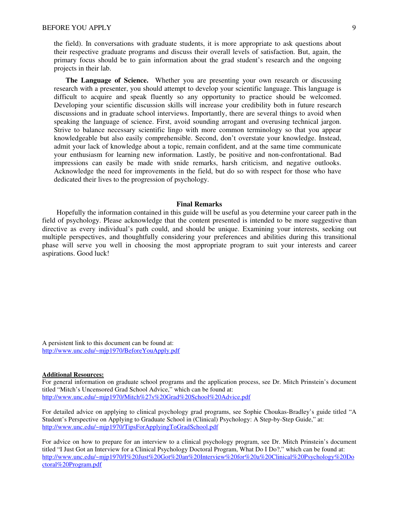the field). In conversations with graduate students, it is more appropriate to ask questions about their respective graduate programs and discuss their overall levels of satisfaction. But, again, the primary focus should be to gain information about the grad student's research and the ongoing projects in their lab.

**The Language of Science.**Whether you are presenting your own research or discussing research with a presenter, you should attempt to develop your scientific language. This language is difficult to acquire and speak fluently so any opportunity to practice should be welcomed. Developing your scientific discussion skills will increase your credibility both in future research discussions and in graduate school interviews. Importantly, there are several things to avoid when speaking the language of science. First, avoid sounding arrogant and overusing technical jargon. Strive to balance necessary scientific lingo with more common terminology so that you appear knowledgeable but also easily comprehensible. Second, don't overstate your knowledge. Instead, admit your lack of knowledge about a topic, remain confident, and at the same time communicate your enthusiasm for learning new information. Lastly, be positive and non-confrontational. Bad impressions can easily be made with snide remarks, harsh criticism, and negative outlooks. Acknowledge the need for improvements in the field, but do so with respect for those who have dedicated their lives to the progression of psychology.

#### **Final Remarks**

 Hopefully the information contained in this guide will be useful as you determine your career path in the field of psychology. Please acknowledge that the content presented is intended to be more suggestive than directive as every individual's path could, and should be unique. Examining your interests, seeking out multiple perspectives, and thoughtfully considering your preferences and abilities during this transitional phase will serve you well in choosing the most appropriate program to suit your interests and career aspirations. Good luck!

A persistent link to this document can be found at: http://www.unc.edu/~mjp1970/BeforeYouApply.pdf

#### **Additional Resources:**

For general information on graduate school programs and the application process, see Dr. Mitch Prinstein's document titled "Mitch's Uncensored Grad School Advice," which can be found at: http://www.unc.edu/~mjp1970/Mitch%27s%20Grad%20School%20Advice.pdf

For detailed advice on applying to clinical psychology grad programs, see Sophie Choukas-Bradley's guide titled "A Student's Perspective on Applying to Graduate School in (Clinical) Psychology: A Step-by-Step Guide," at: http://www.unc.edu/~mjp1970/TipsForApplyingToGradSchool.pdf

For advice on how to prepare for an interview to a clinical psychology program, see Dr. Mitch Prinstein's document titled "I Just Got an Interview for a Clinical Psychology Doctoral Program, What Do I Do?," which can be found at: http://www.unc.edu/~mjp1970/I%20Just%20Got%20an%20Interview%20for%20a%20Clinical%20Psychology%20Do ctoral%20Program.pdf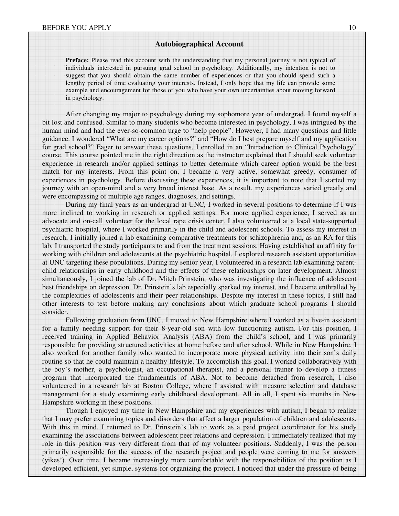### **Autobiographical Account**

**Preface:** Please read this account with the understanding that my personal journey is not typical of individuals interested in pursuing grad school in psychology. Additionally, my intention is not to suggest that you should obtain the same number of experiences or that you should spend such a lengthy period of time evaluating your interests. Instead, I only hope that my life can provide some example and encouragement for those of you who have your own uncertainties about moving forward in psychology.

After changing my major to psychology during my sophomore year of undergrad, I found myself a bit lost and confused. Similar to many students who become interested in psychology, I was intrigued by the human mind and had the ever-so-common urge to "help people". However, I had many questions and little guidance. I wondered "What are my career options?" and "How do I best prepare myself and my application for grad school?" Eager to answer these questions, I enrolled in an "Introduction to Clinical Psychology" course. This course pointed me in the right direction as the instructor explained that I should seek volunteer experience in research and/or applied settings to better determine which career option would be the best match for my interests. From this point on, I became a very active, somewhat greedy, consumer of experiences in psychology. Before discussing these experiences, it is important to note that I started my journey with an open-mind and a very broad interest base. As a result, my experiences varied greatly and were encompassing of multiple age ranges, diagnoses, and settings.

During my final years as an undergrad at UNC, I worked in several positions to determine if I was more inclined to working in research or applied settings. For more applied experience, I served as an advocate and on-call volunteer for the local rape crisis center. I also volunteered at a local state-supported psychiatric hospital, where I worked primarily in the child and adolescent schools. To assess my interest in research, I initially joined a lab examining comparative treatments for schizophrenia and, as an RA for this lab, I transported the study participants to and from the treatment sessions. Having established an affinity for working with children and adolescents at the psychiatric hospital, I explored research assistant opportunities at UNC targeting these populations. During my senior year, I volunteered in a research lab examining parentchild relationships in early childhood and the effects of these relationships on later development. Almost simultaneously, I joined the lab of Dr. Mitch Prinstein, who was investigating the influence of adolescent best friendships on depression. Dr. Prinstein's lab especially sparked my interest, and I became enthralled by the complexities of adolescents and their peer relationships. Despite my interest in these topics, I still had other interests to test before making any conclusions about which graduate school programs I should consider.

Following graduation from UNC, I moved to New Hampshire where I worked as a live-in assistant for a family needing support for their 8-year-old son with low functioning autism. For this position, I received training in Applied Behavior Analysis (ABA) from the child's school, and I was primarily responsible for providing structured activities at home before and after school. While in New Hampshire, I also worked for another family who wanted to incorporate more physical activity into their son's daily routine so that he could maintain a healthy lifestyle. To accomplish this goal, I worked collaboratively with the boy's mother, a psychologist, an occupational therapist, and a personal trainer to develop a fitness program that incorporated the fundamentals of ABA. Not to become detached from research, I also volunteered in a research lab at Boston College, where I assisted with measure selection and database management for a study examining early childhood development. All in all, I spent six months in New Hampshire working in these positions.

Though I enjoyed my time in New Hampshire and my experiences with autism, I began to realize that I may prefer examining topics and disorders that affect a larger population of children and adolescents. With this in mind, I returned to Dr. Prinstein's lab to work as a paid project coordinator for his study examining the associations between adolescent peer relations and depression. I immediately realized that my role in this position was very different from that of my volunteer positions. Suddenly, I was the person primarily responsible for the success of the research project and people were coming to me for answers (yikes!). Over time, I became increasingly more comfortable with the responsibilities of the position as I developed efficient, yet simple, systems for organizing the project. I noticed that under the pressure of being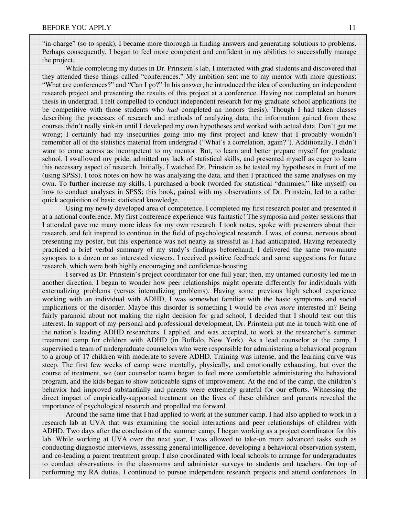"in-charge" (so to speak), I became more thorough in finding answers and generating solutions to problems. Perhaps consequently, I began to feel more competent and confident in my abilities to successfully manage the project.

While completing my duties in Dr. Prinstein's lab, I interacted with grad students and discovered that they attended these things called "conferences." My ambition sent me to my mentor with more questions: "What are conferences?" and "Can I go?" In his answer, he introduced the idea of conducting an independent research project and presenting the results of this project at a conference. Having not completed an honors thesis in undergrad, I felt compelled to conduct independent research for my graduate school applications (to be competitive with those students who *had* completed an honors thesis). Though I had taken classes describing the processes of research and methods of analyzing data, the information gained from these courses didn't really sink-in until I developed my own hypotheses and worked with actual data. Don't get me wrong; I certainly had my insecurities going into my first project and knew that I probably wouldn't remember all of the statistics material from undergrad ("What's a correlation, again?"). Additionally, I didn't want to come across as incompetent to my mentor. But, to learn and better prepare myself for graduate school, I swallowed my pride, admitted my lack of statistical skills, and presented myself as eager to learn this necessary aspect of research. Initially, I watched Dr. Prinstein as he tested my hypotheses in front of me (using SPSS). I took notes on how he was analyzing the data, and then I practiced the same analyses on my own. To further increase my skills, I purchased a book (worded for statistical "dummies," like myself) on how to conduct analyses in SPSS; this book, paired with my observations of Dr. Prinstein, led to a rather quick acquisition of basic statistical knowledge.

Using my newly developed area of competence, I completed my first research poster and presented it at a national conference. My first conference experience was fantastic! The symposia and poster sessions that I attended gave me many more ideas for my own research. I took notes, spoke with presenters about their research, and felt inspired to continue in the field of psychological research. I was, of course, nervous about presenting my poster, but this experience was not nearly as stressful as I had anticipated. Having repeatedly practiced a brief verbal summary of my study's findings beforehand, I delivered the same two-minute synopsis to a dozen or so interested viewers. I received positive feedback and some suggestions for future research, which were both highly encouraging and confidence-boosting.

I served as Dr. Prinstein's project coordinator for one full year; then, my untamed curiosity led me in another direction. I began to wonder how peer relationships might operate differently for individuals with externalizing problems (versus internalizing problems). Having some previous high school experience working with an individual with ADHD, I was somewhat familiar with the basic symptoms and social implications of the disorder. Maybe this disorder is something I would be *even more* interested in? Being fairly paranoid about not making the right decision for grad school, I decided that I should test out this interest. In support of my personal and professional development, Dr. Prinstein put me in touch with one of the nation's leading ADHD researchers. I applied, and was accepted, to work at the researcher's summer treatment camp for children with ADHD (in Buffalo, New York). As a lead counselor at the camp, I supervised a team of undergraduate counselors who were responsible for administering a behavioral program to a group of 17 children with moderate to severe ADHD. Training was intense, and the learning curve was steep. The first few weeks of camp were mentally, physically, and emotionally exhausting, but over the course of treatment, we (our counselor team) began to feel more comfortable administering the behavioral program, and the kids began to show noticeable signs of improvement. At the end of the camp, the children's behavior had improved substantially and parents were extremely grateful for our efforts. Witnessing the direct impact of empirically-supported treatment on the lives of these children and parents revealed the importance of psychological research and propelled me forward.

Around the same time that I had applied to work at the summer camp, I had also applied to work in a research lab at UVA that was examining the social interactions and peer relationships of children with ADHD. Two days after the conclusion of the summer camp, I began working as a project coordinator for this lab. While working at UVA over the next year, I was allowed to take-on more advanced tasks such as conducting diagnostic interviews, assessing general intelligence, developing a behavioral observation system, and co-leading a parent treatment group. I also coordinated with local schools to arrange for undergraduates to conduct observations in the classrooms and administer surveys to students and teachers. On top of performing my RA duties, I continued to pursue independent research projects and attend conferences. In